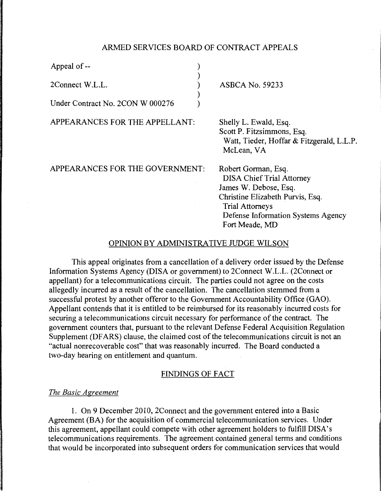# ARMED SERVICES BOARD OF CONTRACT APPEALS

| Appeal of --                     |  |
|----------------------------------|--|
| 2Connect W.L.L.                  |  |
| Under Contract No. 2CON W 000276 |  |

APPEARANCES FOR THE APPELLANT:

ASBCA No. 59233

Shelly L. Ewald, Esq. Scott P. Fitzsimmons, Esq. Watt, Tieder, Hoffar & Fitzgerald, L.L.P. McLean, VA

APPEARANCES FOR THE GOVERNMENT:

Robert Gorman, Esq. DISA Chief Trial Attorney James W. Debose, Esq. Christine Elizabeth Purvis, Esq. Trial Attorneys Defense Information Systems Agency Fort Meade, MD

#### OPINION BY ADMINISTRATIVE JUDGE WILSON

This appeal originates from a cancellation of a delivery order issued by the Defense Information Systems Agency (DISA or government) to 2Connect W.L.L. (2Connect or appellant) for a telecommunications circuit. The parties could not agree on the costs allegedly incurred as a result of the cancellation. The cancellation stemmed from a successful protest by another offeror to the Government Accountability Office (GAO). Appellant contends that it is entitled to be reimbursed for its reasonably incurred costs for securing a telecommunications circuit necessary for performance of the contract. The government counters that, pursuant to the relevant Defense Federal Acquisition Regulation Supplement (DFARS) clause, the claimed cost of the telecommunications circuit is not an "actual nonrecoverable cost" that was reasonably incurred. The Board conducted a two-day hearing on entitlement and quantum.

# FINDINGS OF FACT

#### *The Basic Agreement*

1. On 9 December 2010, 2Connect and the government entered into a Basic Agreement (BA) for the acquisition of commercial telecommunication services. Under this agreement, appellant could compete with other agreement holders to fulfill DISA's telecommunications requirements. The agreement contained general terms and conditions that would be incorporated into subsequent orders for communication services that would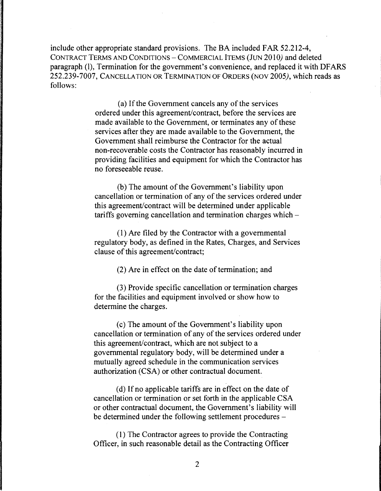include other appropriate standard provisions. The BA included FAR 52.212-4, CONTRACT TERMS AND CONDITIONS - COMMERCIAL ITEMS (JUN 2010) and deleted paragraph (I), Termination for the government's convenience, and replaced it with DFARS 252.239-7007, CANCELLATION OR TERMINATION OF ORDERS (NOV *2005),* which reads as follows:

> (a) If the Government cancels any of the services ordered under this agreement/contract, before the services are made available to the Government, or terminates any of these services after they are made available to the Government, the Government shall reimburse the Contractor for the actual non-recoverable costs the Contractor has reasonably incurred in providing facilities and equipment for which the Contractor has no foreseeable reuse.

(b) The amount of the Government's liability upon cancellation or termination of any of the services ordered under this agreement/contract will be determined under applicable tariffs governing cancellation and termination charges which -

( 1) Are filed by the Contractor with a governmental regulatory body, as defined in the Rates, Charges, and Services clause of this agreement/contract;

(2) Are in effect on the date of termination; and

(3) Provide specific cancellation or termination charges for the facilities and equipment involved or show how to determine the charges.

(c) The amount of the Government's liability upon cancellation or termination of any of the services ordered under this agreement/contract, which are not subject to a governmental regulatory body, will be determined under a mutually agreed schedule in the communication services authorization (CSA) or other contractual document.

( d) If no applicable tariffs are in effect on the date of cancellation or termination or set forth in the applicable CSA or other contractual document, the Government's liability will be determined under the following settlement procedures –

( 1) The Contractor agrees to provide the Contracting Officer, in such reasonable detail as the Contracting Officer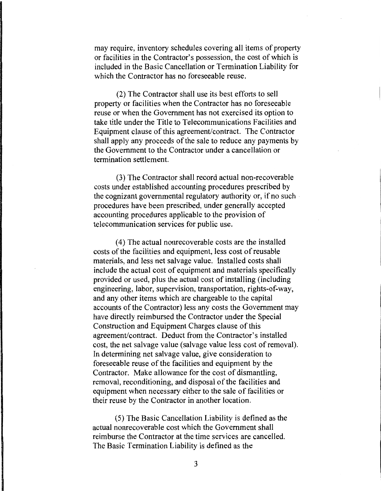may require, inventory schedules covering all items of property or facilities in the Contractor's possession, the cost of which is included in the Basic Cancellation or Termination Liability for which the Contractor has no foreseeable reuse.

(2) The Contractor shall use its best efforts to sell property or facilities when the Contractor has no foreseeable reuse or when the Government has not exercised its option to take title under the Title to Telecommunications Facilities and Equipment clause of this agreement/contract. The Contractor shall apply any proceeds of the sale to reduce any payments by the Government to the Contractor under a cancellation or termination settlement.

(3) The Contractor shall record actual non-recoverable costs under established accounting procedures prescribed by the cognizant governmental regulatory authority or, if no such procedures have been prescribed, under generally accepted accounting procedures applicable to the provision of telecommunication services for public use.

( 4) The actual nonrecoverable costs are the installed costs of the facilities and equipment, less cost of reusable materials, and less net salvage value. Installed costs shall include the actual cost of equipment and materials specifically provided or used, plus the actual cost of installing (including engineering, labor, supervision, transportation, rights-of-way, and any other items which are chargeable to the capital accounts of the Contractor) less any costs the Government may have directly reimbursed the Contractor under the Special Construction and Equipment Charges clause of this agreement/contract. Deduct from the Contractor's installed cost, the net salvage value (salvage value less cost of removal). In determining net salvage value, give consideration to foreseeable reuse of the facilities and equipment by the Contractor. Make allowance for the cost of dismantling, removal, reconditioning, and disposal of the facilities and equipment when necessary either to the sale of facilities or their reuse by the Contractor in another location.

(5) The Basic Cancellation Liability is defined as the actual nonrecoverable cost which the Government shall reimburse the Contractor at the time services are cancelled. The Basic Termination Liability is defined as the

3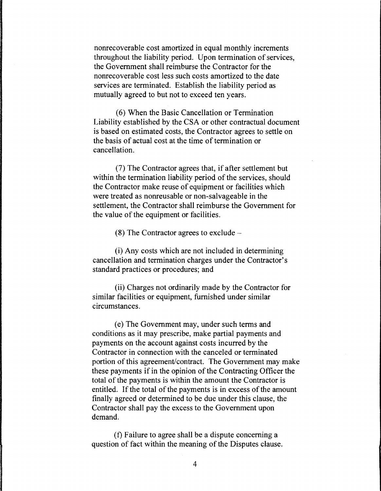nonrecoverable cost amortized in equal monthly increments throughout the liability period. Upon termination of services, the Government shall reimburse the Contractor for the nonrecoverable cost less such costs amortized to the date services are terminated. Establish the liability period as mutually agreed to but not to exceed ten years.

(6) When the Basic Cancellation or Termination Liability established by the CSA or other contractual document is based on estimated costs, the Contractor agrees to settle on the basis of actual cost at the time of termination or cancellation.

(7) The Contractor agrees that, if after settlement but within the termination liability period of the services, should the Contractor make reuse of equipment or facilities which were treated as nonreusable or non-salvageable in the settlement, the Contractor shall reimburse the Government for the value of the equipment or facilities.

 $(8)$  The Contractor agrees to exclude  $-$ 

(i) Any costs which are not included in determining cancellation and termination charges under the Contractor's standard practices or procedures; and

(ii) Charges not ordinarily made by the Contractor for similar facilities or equipment, furnished under similar circumstances.

( e) The Government may, under such terms and conditions as it may prescribe, make partial payments and payments on the account against costs incurred by the Contractor in connection with the canceled or terminated portion of this agreement/contract. The Government may make these payments if in the opinion of the Contracting Officer the total of the payments is within the amount the Contractor is entitled. If the total of the payments is in excess of the amount finally agreed or determined to be due under this clause, the Contractor shall pay the excess to the Government upon demand.

(f) Failure to agree shall be a dispute concerning a question of fact within the meaning of the Disputes clause.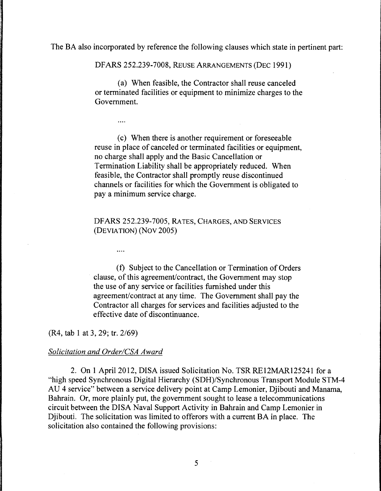The BA also incorporated by reference the following clauses which state in pertinent part:

DF ARS 252.239-7008, REUSE ARRANGEMENTS (DEC 1991)

(a) When feasible, the Contractor shall reuse canceled or terminated facilities or equipment to minimize charges to the Government.

( c) When there is another requirement or foreseeable reuse in place of canceled or terminated facilities or equipment, no charge shall apply and the Basic Cancellation or Termination Liability shall be appropriately reduced. When feasible, the Contractor shall promptly reuse discontinued channels or facilities for which the Government is obligated to pay a minimum service charge.

# DFARS 252.239-7005, RA TES, CHARGES, AND SERVICES (DEVIATION) (Nov 2005)

(f) Subject to the Cancellation or Termination of Orders clause, of this agreement/contract, the Government may stop the use of any service or facilities furnished under this agreement/contract at any time. The Government shall pay the Contractor all charges for services and facilities adjusted to the effective date of discontinuance.

(R4, tab 1 at 3, 29; tr. 2/69)

#### *Solicitation and Order/CSA Award*

 $\cdots$ 

 $\ddotsc$ 

2. On 1 April 2012, DISA issued Solicitation No. TSR RE12MAR125241 for a "high speed Synchronous Digital Hierarchy (SDH)/Synchronous Transport Module STM-4 AU 4 service" between a service delivery point at Camp Lemonier, Djibouti and Manama, Bahrain. Or, more plainly put, the government sought to lease a telecommunications circuit between the DISA Naval Support Activity in Bahrain and Camp Lemonier in Djibouti. The solicitation was limited to offerors with a current BA in place. The solicitation also contained the following provisions: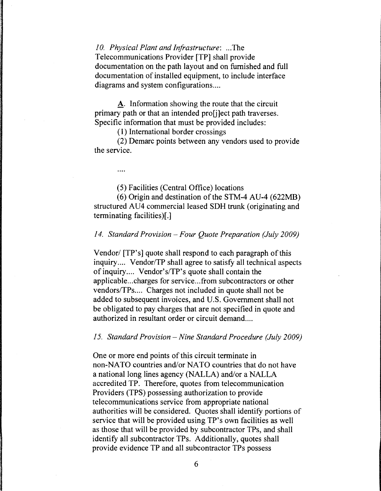*10. Physical Plant and Infrastructure:* ... The Telecommunications Provider [TP] shall provide documentation on the path layout and on furnished and full documentation of installed equipment, to include interface diagrams and system configurations....

A. Information showing the route that the circuit primary path or that an intended pro[j]ect path traverses. Specific information that must be provided includes:

( 1) International border crossings

(2) Demarc points between any vendors used to provide the service.

(5) Facilities (Central Office) locations

(6) Origin and destination of the STM-4 AU-4 (622MB) structured AU4 commercial leased SDH trunk (originating and terminating facilities)[.]

### *14. Standard Provision* - *Four Quote Preparation (July 2009)*

Vendor/ [TP's] quote shall respond to each paragraph of this inquiry.... Vendor/TP shall agree to satisfy all technical aspects of inquiry .... Vendor's/TP's quote shall contain the applicable ... charges for service ... from subcontractors or other vendors/TPs.... Charges not included in quote shall not be added to subsequent invoices, and U.S. Government shall not be obligated to pay charges that are not specified in quote and authorized in resultant order or circuit demand....

#### *15. Standard Provision -Nine Standard Procedure (July 2009)*

One or more end points of this circuit terminate in non-NATO countries and/or NATO countries that do not have a national long lines agency (NALLA) and/or a NALLA accredited TP. Therefore, quotes from telecommunication Providers (TPS) possessing authorization to provide telecommunications service from appropriate national authorities will be considered. Quotes shall identify portions of service that will be provided using TP's own facilities as well as those that will be provided by subcontractor TPs, and shall identify all subcontractor TPs. Additionally, quotes shall provide evidence TP and all subcontractor TPs possess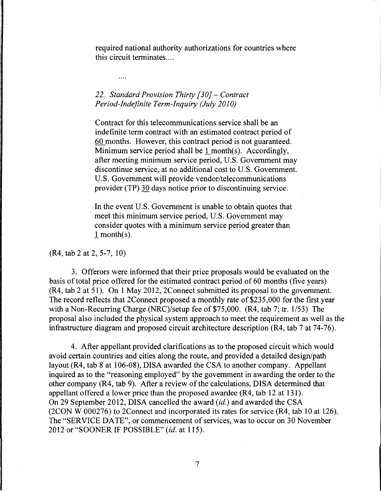required national authority authorizations for countries where this circuit terminates ....

# *22. Standard Provision Thirty [30]* - *Contract Period-Indefinite Term-Inquiry (July 2010)*

 $\cdots$ 

Contract for this telecommunications service shall be an indefinite term contract with an estimated contract period of 60 months. However, this contract period is not guaranteed. Minimum service period shall be  $1$  month(s). Accordingly, after meeting minimum service period, U.S. Government may discontinue service, at no additional cost to U.S. Government. U.S. Government will provide vendor/telecommunications provider (TP) 30 days notice prior to discontinuing service.

In the event U.S. Government is unable to obtain quotes that meet this minimum service period, U.S. Government may consider quotes with a minimum service period greater than l month(s).

(R4, tab 2 at 2, 5-7, 10)

3. Offerors were informed that their price proposals would be evaluated on the basis of total price offered for the estimated contract period of 60 months (five years) (R4, tab 2 at 51). On 1May2012, 2Connect submitted its proposal to the government. The record reflects that 2Connect proposed a monthly rate of \$235,000 for the first year with a Non-Recurring Charge (NRC)/setup fee of \$75,000. (R4, tab 7; tr. 1/53) The proposal also included the physical system approach to meet the requirement as well as the infrastructure diagram and proposed circuit architecture description (R4, tab 7 at 74-76).

4. After appellant provided clarifications as to the proposed circuit which would avoid certain countries and cities along the route, and provided a detailed design/path layout (R4, tab 8 at 106-08), DISA awarded the CSA to another company. Appellant inquired as to the "reasoning employed" by the government in awarding the order to the other company (R4, tab 9). After a review of the calculations, DISA determined that appellant offered a lower price than the proposed awardee (R4, tab 12 at 131 ). On 29 September 2012, DISA cancelled the award *(id.)* and awarded the CSA (2CON W 000276) to 2Connect and incorporated its rates for service (R4, tab 10 at 126). The "SERVICE DATE'', or commencement of services, was to occur on 30 November 2012 or "SOONER IF POSSIBLE" *(id.* at 115).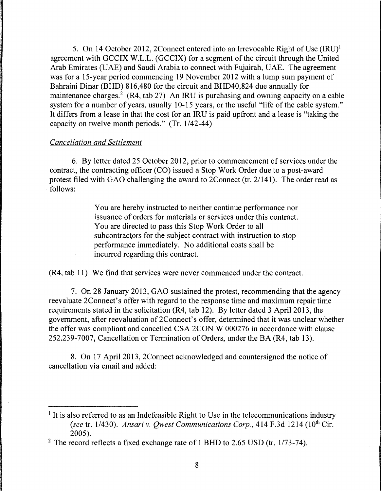5. On 14 October 2012, 2Connect entered into an Irrevocable Right of Use (IRU)<sup>1</sup> agreement with GCCIX W.L.L. (GCCIX) for a segment of the circuit through the United Arab Emirates (UAE) and Saudi Arabia to connect with Fujairah, UAE. The agreement was for a 15-year period commencing 19 November 2012 with a lump sum payment of Bahraini Dinar (BHD) 816,480 for the circuit and BHD40,824 due annually for maintenance charges.<sup>2</sup> (R4, tab 27) An IRU is purchasing and owning capacity on a cable system for a number of years, usually 10-15 years, or the useful "life of the cable system." It differs from a lease in that the cost for an IRU is paid upfront and a lease is "taking the capacity on twelve month periods."  $(Tr. 1/42-44)$ 

# *Cancellation and Settlement*

6. By letter dated 25 October 2012, prior to commencement of services under the contract, the contracting officer (CO) issued a Stop Work Order due to a post-award protest filed with GAO challenging the award to 2Connect (tr. 21141). The order read as follows:

> You are hereby instructed to neither continue performance nor issuance of orders for materials or services under this contract. You are directed to pass this Stop Work Order to all subcontractors for the subject contract with instruction to stop performance immediately. No additional costs shall be incurred regarding this contract.

(R4, tab 11) We find that services were never commenced under the contract.

7. On 28 January 2013, GAO sustained the protest, recommending that the agency reevaluate 2Connect's offer with regard to the response time and maximum repair time requirements stated in the solicitation (R4, tab 12). By letter dated 3 April 2013, the government, after reevaluation of 2Connect's offer, determined that it was unclear whether the offer was compliant and cancelled CSA 2CON W 000276 in accordance with clause 252.239-7007, Cancellation or Termination of Orders, under the BA (R4, tab 13).

8. On 17 April 2013, 2Connect acknowledged and countersigned the notice of cancellation via email and added:

<sup>&</sup>lt;sup>1</sup> It is also referred to as an Indefeasible Right to Use in the telecommunications industry *(see tr. 1/430). Ansari v. Qwest Communications Corp., 414 F.3d 1214 (10<sup>th</sup> Cir.* 2005).

<sup>&</sup>lt;sup>2</sup> The record reflects a fixed exchange rate of 1 BHD to 2.65 USD (tr.  $1/73-74$ ).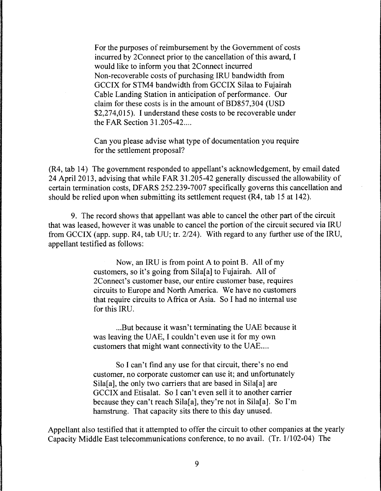For the purposes of reimbursement by the Government of costs incurred by 2Connect prior to the cancellation of this award, I would like to inform you that 2Connect incurred Non-recoverable costs of purchasing IRU bandwidth from GCCIX for STM4 bandwidth from GCCIX Silaa to Fujairah Cable Landing Station in anticipation of performance. Our claim for these costs is in the amount of BD857,304 (USD \$2,274,015). I understand these costs to be recoverable under the FAR Section 31.205-42 ....

Can you please advise what type of documentation you require for the settlement proposal?

(R4, tab 14) The government responded to appellant's acknowledgement, by email dated 24 April 2013, advising that while FAR 31.205-42 generally discussed the allowability of certain termination costs, DF ARS 252.239-7007 specifically governs this cancellation and should be relied upon when submitting its settlement request (R4, tab 15 at 142).

9. The record shows that appellant was able to cancel the other part of the circuit that was leased, however it was unable to cancel the portion of the circuit secured via IRU from GCCIX (app. supp. R4, tab UU; tr. 2/24). With regard to any further use of the IRU, appellant testified as follows:

> Now, an IRU is from point A to point B. All of my customers, so it's going from Sila[a] to Fujairah. All of 2Connect's customer base, our entire customer base, requires circuits to Europe and North America. We have no customers that require circuits to Africa or Asia. So I had no internal use for this IRU.

> ... But because it wasn't terminating the UAE because it was leaving the UAE, I couldn't even use it for my own customers that might want connectivity to the UAE....

> So I can't find any use for that circuit, there's no end customer, no corporate customer can use it; and unfortunately Sila[a], the only two carriers that are based in Sila[a] are GCCIX and Etisalat. So I can't even sell it to another carrier because they can't reach Sila[a], they're not in Sila[a]. So I'm hamstrung. That capacity sits there to this day unused.

Appellant also testified that it attempted to offer the circuit to other companies at the yearly Capacity Middle East telecommunications conference, to no avail. (Tr. 1/102-04) The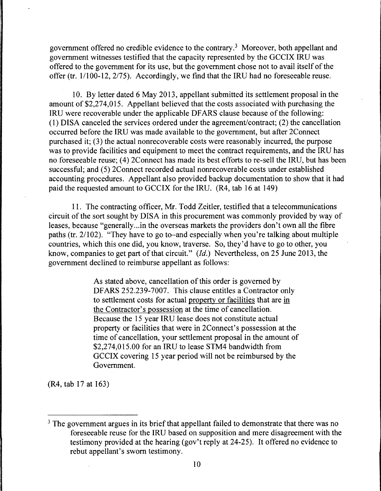government offered no credible evidence to the contrary.<sup>3</sup> Moreover, both appellant and government witnesses testified that the capacity represented by the GCCIX IRU was offered to the government for its use, but the government chose not to avail itself of the offer (tr. 1/100-12, 2/75). Accordingly, we find that the IRU had no foreseeable reuse.

10. By letter dated 6 May 2013, appellant submitted its settlement proposal in the amount of \$2,274,015. Appellant believed that the costs associated with purchasing the IRU were recoverable under the applicable DFARS clause because of the following: ( 1) DISA canceled the services ordered under the agreement/contract; (2) the cancellation occurred before the IRU was made available to the government, but after 2Connect purchased it; (3) the actual nonrecoverable costs were reasonably incurred, the purpose was to provide facilities and equipment to meet the contract requirements, and the IRU has no foreseeable reuse; (4) 2Connect has made its best efforts to re-sell the IRU, but has been successful; and (5) 2Connect recorded actual nonrecoverable costs under established accounting procedures. Appellant also provided backup documentation to show that it had paid the requested amount to GCCIX for the IRU. (R4, tab 16 at 149)

11. The contracting officer, Mr. Todd Zeitler, testified that a telecommunications circuit of the sort sought by DISA in this procurement was commonly provided by way of leases, because "generally...in the overseas markets the providers don't own all the fibre paths (tr. 2/102). "They have to go to-and especially when you're talking about multiple countries, which this one did, you know, traverse. So, they'd have to go to other, you know, companies to get part of that circuit." *(Id.)* Nevertheless, on 25 June 2013, the government declined to reimburse appellant as follows:

> As stated above, cancellation of this order is governed by DF ARS 252.239-7007. This clause entitles a Contractor only to settlement costs for actual property or facilities that are in the Contractor's possession at the time of cancellation. Because the 15 year IRU lease does not constitute actual property or facilities that were in 2Connect's possession at the time of cancellation, your settlement proposal in the amount of \$2,274,015.00 for an IRU to lease STM4 bandwidth from GCCIX covering 15 year period will not be reimbursed by the Government.

(R4, tab 17 at 163)

 $3$  The government argues in its brief that appellant failed to demonstrate that there was no foreseeable reuse for the IRU based on supposition and mere disagreement with the testimony provided at the hearing (gov't reply at 24-25). It offered no evidence to rebut appellant's sworn testimony.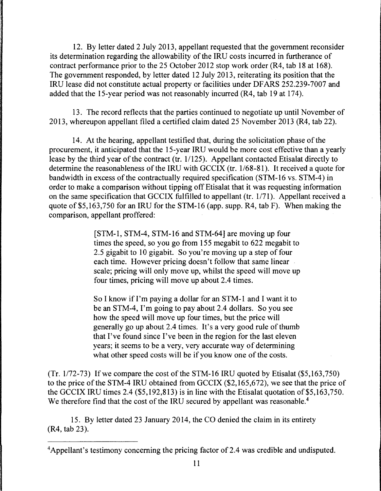12. By letter dated 2 July 2013, appellant requested that the government reconsider its determination regarding the allowability of the IRU costs incurred in furtherance of contract performance prior to the 25 October 2012 stop work order (R4, tab 18 at 168). The government responded, by letter dated 12 July 2013, reiterating its position that the IRU lease did not constitute actual property or facilities under DF ARS 252.239-7007 and added that the 15-year period was not reasonably incurred (R4, tab 19 at 174).

13. The record reflects that the parties continued to negotiate up until November of 2013, whereupon appellant filed a certified claim dated 25 November 2013 (R4, tab 22).

14. At the hearing, appellant testified that, during the solicitation phase of the procurement, it anticipated that the 15-year IRU would be more cost effective than a yearly lease by the third year of the contract (tr. 1/125). Appellant contacted Etisalat directly to determine the reasonableness of the IRU with GCCIX (tr. 1/68-81). It received a quote for bandwidth in excess of the contractually required specification (STM-16 vs. STM-4) in order to make a comparison without tipping off Etisalat that it was requesting information on the same specification that GCCIX fulfilled to appellant (tr. 1/71). Appellant received a quote of \$5,163,750 for an IRU for the STM-16 (app. supp. R4, tab F). When making the comparison, appellant proffered:

> [STM-1, STM-4, STM-16 and STM-64] are moving up four times the speed, so you go from 155 megabit to 622 megabit to 2.5 gigabit to 10 gigabit. So you're moving up a step of four each time. However pricing doesn't follow that same linear scale; pricing will only move up, whilst the speed will move up four times, pricing will move up about 2.4 times.

> So I know if I'm paying a dollar for an STM-1 and I want it to be an STM-4, I'm going to pay about 2.4 dollars. So you see how the speed will move up four times, but the price will generally go up about 2.4 times. It's a very good rule of thumb that I've found since I've been in the region for the last eleven years; it seems to be a very, very accurate way of determining what other speed costs will be if you know one of the costs.

 $(Tr. 1/72-73)$  If we compare the cost of the STM-16 IRU quoted by Etisalat  $(\$5,163,750)$ to the price of the STM-4 IRU obtained from GCCIX (\$2,165,672), we see that the price of the GCCIX IRU times 2.4  $(\$5,192,813)$  is in line with the Etisalat quotation of \$5,163,750. We therefore find that the cost of the IRU secured by appellant was reasonable.<sup>4</sup>

15. By letter dated 23 January 2014, the CO denied the claim in its entirety (R4, tab 23 ).

<sup>&</sup>lt;sup>4</sup>Appellant's testimony concerning the pricing factor of 2.4 was credible and undisputed.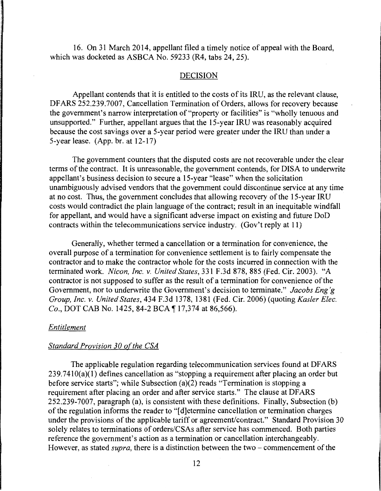16. On 31 March 2014, appellant filed a timely notice of appeal with the Board, which was docketed as ASBCA No. 59233 (R4, tabs 24, 25).

#### DECISION

Appellant contends that it is entitled to the costs of its IRU, as the relevant clause, DFARS 252.239.7007, Cancellation Termination of Orders, allows for recovery because the government's narrow interpretation of "property or facilities" is "wholly tenuous and unsupported." Further, appellant argues that the 15-year IRU was reasonably acquired because the cost savings over a 5-year period were greater under the IRU than under a 5-year lease. (App. br. at 12-17)

The government counters that the disputed costs are not recoverable under the clear terms of the contract. It is unreasonable, the government contends, for DISA to underwrite appellant's business decision to secure a 15-year "lease" when the solicitation unambiguously advised vendors that the government could discontinue service at any time at no cost. Thus, the government concludes that allowing recovery of the 15-year IRU costs would contradict the plain language of the contract; result in an inequitable windfall for appellant, and would have a significant adverse impact on existing and future DoD contracts within the telecommunications service industry. (Gov't reply at 11)

Generally, whether termed a cancellation or a termination for convenience, the overall purpose of a termination for convenience settlement is to fairly compensate the contractor and to make the contractor whole for the costs incurred in connection with the terminated work. *Nicon, Inc. v. United States,* 331 F.3d 878, 885 (Fed. Cir. 2003). "A contractor is not supposed to suffer as the result of a termination for convenience of the Government, nor to underwrite the Government's decision to terminate." *Jacobs Eng'g Group, Inc. v. United States,* 434 F.3d 1378, 1381 (Fed. Cir. 2006) (quoting *Kasler Elec. Co., DOT CAB No.* 1425, 84-2 BCA ¶ 17,374 at 86,566).

### *Entitlement*

#### *Standard Provision 30 of the CSA*

The applicable regulation regarding telecommunication services found at DF ARS  $239.7410(a)(1)$  defines cancellation as "stopping a requirement after placing an order but before service starts"; while Subsection (a)(2) reads "Termination is stopping a requirement after placing an order and after service starts." The clause at DF ARS 252.239-7007, paragraph (a), is consistent with these definitions. Finally, Subsection (b) of the regulation informs the reader to "[ d]etermine cancellation or termination charges under the provisions of the applicable tariff or agreement/contract." Standard Provision 30 solely relates to terminations of orders/CSAs after service has commenced. Both parties reference the government's action as a termination or cancellation interchangeably. However, as stated *supra*, there is a distinction between the two – commencement of the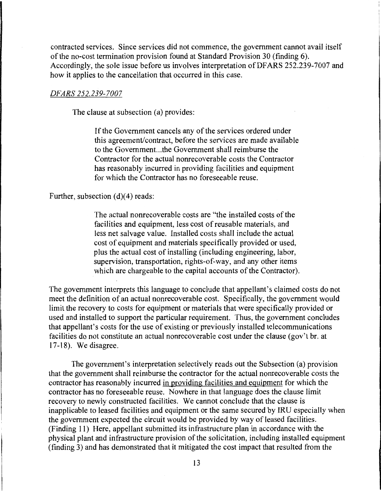contracted services. Since services did not commence, the government cannot avail itself of the no-cost termination provision found at Standard Provision 30 (finding 6). Accordingly, the sole issue before us involves interpretation of DFARS 252.239-7007 and how it applies to the cancellation that occurred in this case.

### *DFARS 252.239-7007*

The clause at subsection (a) provides:

If the Government cancels any of the services ordered under this agreement/contract, before the services are made available to the Government. .. the Government shall reimburse the Contractor for the actual nonrecoverable costs the Contractor has reasonably incurred in providing facilities and equipment for which the Contractor has no foreseeable reuse.

Further, subsection (d)(4) reads:

The actual nonrecoverable costs are "the installed costs of the facilities and equipment, less cost of reusable materials, and less net salvage value. Installed costs shall include the actual cost of equipment and materials specifically provided or used, plus the actual cost of installing (including engineering, labor, supervision, transportation, rights-of-way, and any other items which are chargeable to the capital accounts of the Contractor).

The government interprets this language to conclude that appellant's claimed costs do not meet the definition of an actual nonrecoverable cost. Specifically, the government would limit the recovery to costs for equipment or materials that were specifically provided or used and installed to support the particular requirement. Thus, the government concludes that appellant's costs for the use of existing or previously installed telecommunications facilities do not constitute an actual nonrecoverable cost under the clause (gov't br. at 17-18). Wedisagree.

The government's interpretation selectively reads out the Subsection (a) provision that the government shall reimburse the contractor for the actual nonrecoverable costs the contractor has reasonably incurred in providing facilities and equipment for which the contractor has no foreseeable reuse. Nowhere in that language does the clause limit recovery to newly constructed facilities. We cannot conclude that the clause is inapplicable to leased facilities and equipment or the same secured by IRU especially when the government expected the circuit would be provided by way of leased facilities. (Finding 11) Here, appellant submitted its infrastructure plan in accordance with the physical plant and infrastructure provision of the solicitation, including installed equipment (finding 3) and has demonstrated that it mitigated the cost impact that resulted from the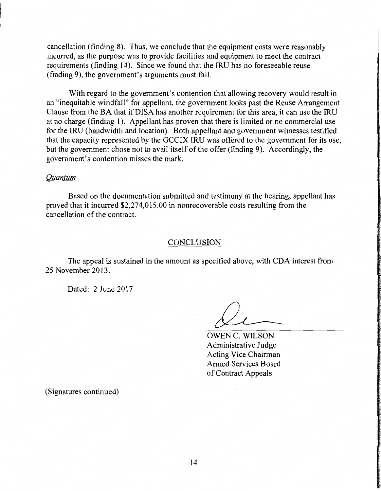cancellation (finding 8). Thus, we conclude that the equipment costs were reasonably incurred, as the purpose was to provide facilities and equipment to meet the contract requirements (finding 14). Since we found that the IRU has no foreseeable reuse (finding 9), the government's arguments must fail.

With regard to the government's contention that allowing recovery would result in an "inequitable windfall" for appellant, the government looks past the Reuse Arrangement Clause from the BA that if DISA has another requirement for this area, it can use the IRU at no charge (finding 1). Appellant has proven that there is limited or no commercial use for the IRU (bandwidth and location). Both appellant and government witnesses testified that the capacity represented by the GCCIX IRU was offered to the government for its use, but the government chose not to avail itself of the offer (finding 9). Accordingly, the government's contention misses the mark.

### *Quantum*

Based on the documentation submitted and testimony at the hearing, appellant has proved that it incurred \$2,274,015.00 in nonrecoverable costs resulting from the cancellation of the contract.

# **CONCLUSION**

The appeal is sustained in the amount as specified above, with CDA interest from 25 November 2013.

Dated: 2 June 2017

OWEN C. WILSON Administrative Judge Acting Vice Chairman Armed Services Board of Contract Appeals

(Signatures continued)